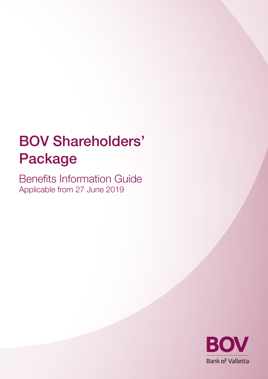# BOV Shareholders' Package

Benefits Information Guide Applicable from 27 June 2019

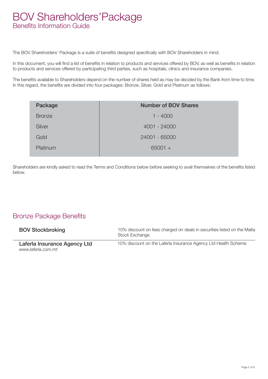### BOV Shareholders'Package Benefits Information Guide

The BOV Shareholders' Package is a suite of benefits designed specifically with BOV Shareholders in mind.

In this document, you will find a list of benefits in relation to products and services offered by BOV, as well as benefits in relation to products and services offered by participating third parties, such as hospitals, clinics and insurance companies.

The benefits available to Shareholders depend on the number of shares held as may be decided by the Bank from time to time. In this regard, the benefits are divided into four packages: Bronze, Silver, Gold and Platinum as follows:

| Package       | <b>Number of BOV Shares</b> |
|---------------|-----------------------------|
| <b>Bronze</b> | $1 - 4000$                  |
| Silver        | 4001 - 24000                |
| Gold          | 24001 - 65000               |
| Platinum      | $65001 +$                   |

Shareholders are kindly asked to read the Terms and Conditions below before seeking to avail themselves of the benefits listed below.

#### Bronze Package Benefits

| <b>BOV Stockbroking</b>                            | 10% discount on fees charged on deals in securities listed on the Malta<br>Stock Exchange |
|----------------------------------------------------|-------------------------------------------------------------------------------------------|
| Laferla Insurance Agency Ltd<br>www.laferla.com.mt | 10% discount on the Laferla Insurance Agency Ltd Health Scheme                            |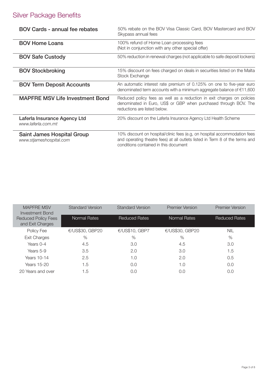### Silver Package Benefits

| <b>BOV Cards - annual fee rebates</b>                 | 50% rebate on the BOV Visa Classic Card, BOV Mastercard and BOV<br>Skypass annual fees                                                                                                              |
|-------------------------------------------------------|-----------------------------------------------------------------------------------------------------------------------------------------------------------------------------------------------------|
| <b>BOV Home Loans</b>                                 | 100% refund of Home Loan processing fees<br>(Not in conjunction with any other special offer)                                                                                                       |
| <b>BOV Safe Custody</b>                               | 50% reduction in renewal charges (not applicable to safe deposit lockers)                                                                                                                           |
| <b>BOV Stockbroking</b>                               | 15% discount on fees charged on deals in securities listed on the Malta<br>Stock Exchange                                                                                                           |
| <b>BOV Term Deposit Accounts</b>                      | An automatic interest rate premium of 0.125% on one to five-year euro<br>denominated term accounts with a minimum aggregate balance of $\epsilon$ 11,600                                            |
| <b>MAPFRE MSV Life Investment Bond</b>                | Reduced policy fees as well as a reduction in exit charges on policies<br>denominated in Euro, US\$ or GBP when purchased through BOV. The<br>reductions are listed below.                          |
| Laferla Insurance Agency Ltd<br>www.laferla.com.mt    | 20% discount on the Laferla Insurance Agency Ltd Health Scheme                                                                                                                                      |
| Saint James Hospital Group<br>www.stjameshospital.com | 10% discount on hospital/clinic fees (e.g., on hospital accommodation fees<br>and operating theatre fees) at all outlets listed in Term 8 of the terms and<br>conditions contained in this document |

| <b>MAPFRE MSV</b><br><b>Investment Bond</b>    | <b>Standard Version</b> | <b>Standard Version</b> | <b>Premier Version</b> | <b>Premier Version</b> |
|------------------------------------------------|-------------------------|-------------------------|------------------------|------------------------|
| <b>Reduced Policy Fees</b><br>and Exit Charges | Normal Rates            | <b>Reduced Rates</b>    | <b>Normal Rates</b>    | <b>Reduced Rates</b>   |
| Policy Fee                                     | €/US\$30, GBP20         | €/US\$10, GBP7          | €/US\$30, GBP20        | <b>NIL</b>             |
| Exit Charges                                   | %                       | $\%$                    | $\%$                   | %                      |
| Years 0-4                                      | 4.5                     | 3.0                     | 4.5                    | 3.0                    |
| Years 5-9                                      | 3.5                     | 2.0                     | 3.0                    | 1.5                    |
| Years 10-14                                    | 2.5                     | 1.0                     | 2.0                    | 0.5                    |
| Years 15-20                                    | 1.5                     | 0.0                     | 1.0                    | 0.0                    |
| 20 Years and over                              | 1.5                     | 0.0                     | 0.0                    | 0.0                    |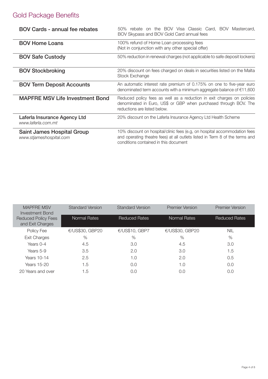## Gold Package Benefits

| <b>BOV Cards - annual fee rebates</b>                 | 50% rebate on the BOV Visa Classic Card, BOV Mastercard,<br>BOV Skypass and BOV Gold Card annual fees                                                                                              |  |  |
|-------------------------------------------------------|----------------------------------------------------------------------------------------------------------------------------------------------------------------------------------------------------|--|--|
| <b>BOV Home Loans</b>                                 | 100% refund of Home Loan processing fees<br>(Not in conjunction with any other special offer)                                                                                                      |  |  |
| <b>BOV Safe Custody</b>                               | 50% reduction in renewal charges (not applicable to safe deposit lockers)                                                                                                                          |  |  |
| <b>BOV Stockbroking</b>                               | 20% discount on fees charged on deals in securities listed on the Malta<br>Stock Exchange                                                                                                          |  |  |
| <b>BOV Term Deposit Accounts</b>                      | An automatic interest rate premium of 0.175% on one to five-year euro<br>denominated term accounts with a minimum aggregate balance of €11,600                                                     |  |  |
| <b>MAPFRE MSV Life Investment Bond</b>                | Reduced policy fees as well as a reduction in exit charges on policies<br>denominated in Euro, US\$ or GBP when purchased through BOV. The<br>reductions are listed below.                         |  |  |
| Laferla Insurance Agency Ltd<br>www.laferla.com.mt    | 20% discount on the Laferla Insurance Agency Ltd Health Scheme                                                                                                                                     |  |  |
| Saint James Hospital Group<br>www.stjameshospital.com | 10% discount on hospital/clinic fees (e.g. on hospital accommodation fees<br>and operating theatre fees) at all outlets listed in Term 8 of the terms and<br>conditions contained in this document |  |  |

| <b>MAPFRE MSV</b><br>Investment Bond           | <b>Standard Version</b> | <b>Standard Version</b> | <b>Premier Version</b> | <b>Premier Version</b> |
|------------------------------------------------|-------------------------|-------------------------|------------------------|------------------------|
| <b>Reduced Policy Fees</b><br>and Exit Charges | <b>Normal Rates</b>     | <b>Reduced Rates</b>    | <b>Normal Rates</b>    | <b>Reduced Rates</b>   |
| Policy Fee                                     | €/US\$30, GBP20         | €/US\$10, GBP7          | €/US\$30, GBP20        | <b>NIL</b>             |
| <b>Exit Charges</b>                            | $\%$                    | $\%$                    | %                      | %                      |
| Years 0-4                                      | 4.5                     | 3.0                     | 4.5                    | 3.0                    |
| Years 5-9                                      | 3.5                     | 2.0                     | 3.0                    | 1.5                    |
| Years 10-14                                    | 2.5                     | 1.0                     | 2.0                    | 0.5                    |
| Years 15-20                                    | 1.5                     | 0.0                     | 1.0                    | 0.0                    |
| 20 Years and over                              | 1.5                     | 0.0                     | 0.0                    | 0.0                    |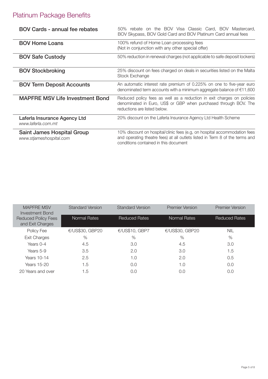## Platinum Package Benefits

| BOV Cards - annual fee rebates                        | 50% rebate on the BOV Visa Classic Card, BOV Mastercard,<br>BOV Skypass, BOV Gold Card and BOV Platinum Card annual fees                                                                           |
|-------------------------------------------------------|----------------------------------------------------------------------------------------------------------------------------------------------------------------------------------------------------|
| <b>BOV Home Loans</b>                                 | 100% refund of Home Loan processing fees<br>(Not in conjunction with any other special offer)                                                                                                      |
| <b>BOV Safe Custody</b>                               | 50% reduction in renewal charges (not applicable to safe deposit lockers)                                                                                                                          |
| <b>BOV Stockbroking</b>                               | 25% discount on fees charged on deals in securities listed on the Malta<br>Stock Exchange                                                                                                          |
| <b>BOV Term Deposit Accounts</b>                      | An automatic interest rate premium of 0.225% on one to five-year euro<br>denominated term accounts with a minimum aggregate balance of €11,600                                                     |
| <b>MAPFRE MSV Life Investment Bond</b>                | Reduced policy fees as well as a reduction in exit charges on policies<br>denominated in Euro, US\$ or GBP when purchased through BOV. The<br>reductions are listed below.                         |
| Laferla Insurance Agency Ltd<br>www.laferla.com.mt    | 20% discount on the Laferla Insurance Agency Ltd Health Scheme                                                                                                                                     |
| Saint James Hospital Group<br>www.stjameshospital.com | 10% discount on hospital/clinic fees (e.g. on hospital accommodation fees<br>and operating theatre fees) at all outlets listed in Term 8 of the terms and<br>conditions contained in this document |

| <b>MAPFRE MSV</b><br>Investment Bond           | <b>Standard Version</b> | <b>Standard Version</b> | <b>Premier Version</b> | <b>Premier Version</b> |
|------------------------------------------------|-------------------------|-------------------------|------------------------|------------------------|
| <b>Reduced Policy Fees</b><br>and Exit Charges | Normal Rates            | <b>Reduced Rates</b>    | <b>Normal Rates</b>    | <b>Reduced Rates</b>   |
| Policy Fee                                     | €/US\$30, GBP20         | €/US\$10, GBP7          | €/US\$30, GBP20        | <b>NIL</b>             |
| Exit Charges                                   | $\%$                    | %                       | $\%$                   | $\%$                   |
| Years 0-4                                      | 4.5                     | 3.0                     | 4.5                    | 3.0                    |
| Years 5-9                                      | 3.5                     | 2.0                     | 3.0                    | 1.5                    |
| Years 10-14                                    | 2.5                     | 1.0                     | 2.0                    | 0.5                    |
| Years 15-20                                    | 1.5                     | 0.0                     | 1.0                    | 0.0                    |
| 20 Years and over                              | 1.5                     | 0.0                     | 0.0                    | 0.0                    |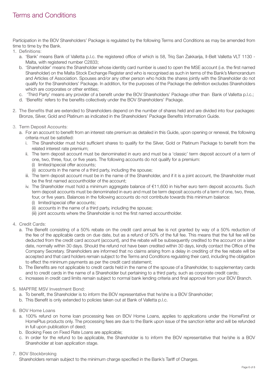Participation in the BOV Shareholders' Package is regulated by the following Terms and Conditions as may be amended from time to time by the Bank.

- 1. Definitions:
	- a. 'Bank' means Bank of Valletta p.l.c. the registered office of which is 58, Triq San Żakkarija, Il-Belt Valletta VLT 1130 Malta, with registered number C2833:
	- b. 'Shareholder' means the Shareholder whose identity card number is used to open the MSE account (i.e. the first named Shareholder) on the Malta Stock Exchange Register and who is recognised as such in terms of the Bank's Memorandum and Articles of Association. Spouses and/or any other person who holds the shares jointly with the Shareholder do not qualify for the Shareholders' Package. In addition, for the purposes of the Package the definition excludes Shareholders which are corporates or other entities;
	- c. 'Third Party' means any provider of a benefit under the BOV Shareholders' Package other than Bank of Valletta p.l.c.;
	- d. 'Benefits' refers to the benefits collectively under the BOV Shareholders' Package.
- 2. The Benefits that are extended to Shareholders depend on the number of shares held and are divided into four packages: Bronze, Silver, Gold and Platinum as indicated in the Shareholders' Package Benefits Information Guide.
- 3. Term Deposit Accounts:
	- a. For an account to benefit from an interest rate premium as detailed in this Guide, upon opening or renewal, the following criteria must be satisfied:
		- i. The Shareholder must hold sufficient shares to qualify for the Silver, Gold or Platinum Package to benefit from the related interest rate premium;
		- ii. The term deposit account must be denominated in euro and must be a 'classic' term deposit account of a term of one, two, three, four, or five years. The following accounts do not qualify for a premium:
			- (i) limited/special offer accounts;
			- (ii) accounts in the name of a third party, including the spouse;
		- iii. The term deposit account must be in the name of the Shareholder, and if it is a joint account, the Shareholder must be the first named accountholder of the account;
		- iv. The Shareholder must hold a minimum aggregate balance of €11,600 in his/her euro term deposit accounts. Such term deposit accounts must be denominated in euro and must be term deposit accounts of a term of one, two, three, four, or five years. Balances in the following accounts do not contribute towards this minimum balance:
			- (i) limited/special offer accounts;
			- (ii) accounts in the name of a third party, including the spouse;
			- (iii) joint accounts where the Shareholder is not the first named accountholder.
- 4. Credit Cards:
	- a. The Benefit consisting of a 50% rebate on the credit card annual fee is not granted by way of a 50% reduction of the fee of the applicable cards on due date, but as a refund of 50% of the full fee. This means that the full fee will be deducted from the credit card account (account), and the rebate will be subsequently credited to the account on a later date, normally within 30 days. Should the refund not have been credited within 30 days, kindly contact the Office of the Company Secretary. Shareholders are informed that no claims arising from a delay in crediting of the fee rebate will be accepted and that card holders remain subject to the Terms and Conditions regulating their card, including the obligation to effect the minimum payments as per the credit card statement;
	- b. The Benefits are not applicable to credit cards held in the name of the spouse of a Shareholder, to supplementary cards and to credit cards in the name of a Shareholder but pertaining to a third party, such as corporate credit cards;
	- c. Increases in credit card limits remain subject to normal bank lending criteria and final approval from your BOV Branch.
- 5. MAPFRE MSV Investment Bond:
	- a. To benefit, the Shareholder is to inform the BOV representative that he/she is a BOV Shareholder;
	- b. This Benefit is only extended to policies taken out at Bank of Valletta p.l.c.
- 6. BOV Home Loans
	- a. 100% refund on home loan processing fees on BOV Home Loans, applies to applications under the HomeFirst or HomePlus products only. The processing fees are due to the Bank upon issue of the sanction letter and will be refunded in full upon publication of deed;
	- b. Booking Fees on Fixed Rate Loans are applicable;
	- c. In order for the refund to be applicable, the Shareholder is to inform the BOV representative that he/she is a BOV Shareholder at loan application stage.
- 7. BOV Stockbroking

Shareholders remain subject to the minimum charge specified in the Bank's Tariff of Charges.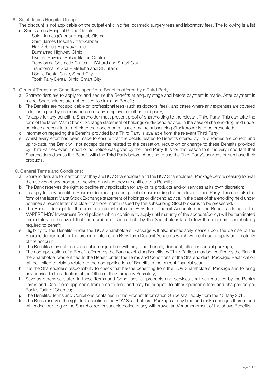8. Saint James Hospital Group:

The discount is not applicable on the outpatient clinic fee, cosmetic surgery fees and laboratory fees. The following is a list of Saint James Hospital Group Outlets:

Saint James (Capua) Hospital, Sliema Saint James Hospital, Ħaż-Żabbar Ħaż-Żebbug Highway Clinic Burmarrad Highway Clinic LiveLife Physical Rehabilitation Centre Transforma Cosmetic Clinics – Ħ'Attard and Smart City Transforma Le Spa – Mellieħa and St Julian's I Smile Dental Clinic, Smart City Tooth Fairy Dental Clinic, Smart City

- 9. General Terms and Conditions specific to Benefits offered by a Third Party
	- a. Shareholders are to apply for and secure the Benefits at enquiry stage and before payment is made. After payment is made, Shareholders are not entitled to claim the Benefit;
	- b. The Benefits are not applicable on professional fees (such as doctors' fees), and cases where any expenses are covered in full or in part by an insurance company, employer or other third party;
	- c. To apply for any benefit, a Shareholder must present proof of shareholding to the relevant Third Party. This can take the form of the latest Malta Stock Exchange statement of holdings or dividend advice. In the case of shareholding held under nominee a recent letter not older than one month issued by the subscribing Stockbroker is to be presented;
	- d. Information regarding the Benefits provided by a Third Party is available from the relevant Third Party;
	- e. Whilst every effort has been made to ensure that the details related to Benefits offered by Third Parties are correct and up to-date, the Bank will not accept claims related to the cessation, reduction or change to these Benefits provided by Third Parties, even if short or no notice was given by the Third Party. It is for this reason that it is very important that Shareholders discuss the Benefit with the Third Party before choosing to use the Third Party's services or purchase their products.
- 10. General Terms and Conditions:
	- a. Shareholders are to mention that they are BOV Shareholders and the BOV Shareholders' Package before seeking to avail themselves of any product or service on which they are entitled to a Benefit;
	- b. The Bank reserves the right to decline any application for any of its products and/or services at its own discretion;
	- c. To apply for any benefit, a Shareholder must present proof of shareholding to the relevant Third Party. This can take the form of the latest Malta Stock Exchange statement of holdings or dividend advice. In the case of shareholding held under nominee a recent letter not older than one month issued by the subscribing Stockbroker is to be presented;
	- d. The Benefits (except for the premium interest rates on BOV Term Deposit Accounts and the Benefits related to the MAPFRE MSV Investment Bond policies which continue to apply until maturity of the account/policy) will be terminated immediately in the event that the number of shares held by the Shareholder falls below the minimum shareholding required to benefit;
	- e. Eligibility to the Benefits under the BOV Shareholders' Package will also immediately cease upon the demise of the Shareholder (except for the premium interest on BOV Term Deposit Accounts which will continue to apply until maturity of the account);
	- f. The Benefits may not be availed of in conjunction with any other benefit, discount, offer, or special package;
	- g. The non-application of a Benefit offered by the Bank (excluding Benefits by Third Parties) may be rectified by the Bank if the Shareholder was entitled to the Benefit under the Terms and Conditions of the Shareholders' Package. Rectification will be limited to claims related to the non-application of Benefits in the current financial year;
	- h. It is the Shareholder's responsibility to check that he/she benefiting from the BOV Shareholders' Package and to bring any queries to the attention of the Office of the Company Secretary;
	- i. Save as otherwise stated in these Terms and Conditions, all products and services shall be regulated by the Bank's Terms and Conditions applicable from time to time and may be subject to other applicable fees and charges as per Bank's Tariff of Charges;
	- j. The Benefits, Terms and Conditions contained in this Product Information Guide shall apply from the 15 May 2015;
	- k. The Bank reserves the right to discontinue the BOV Shareholders' Package at any time and make changes thereto and will endeavour to give the Shareholder reasonable notice of any withdrawal and/or amendment of the above Benefits.